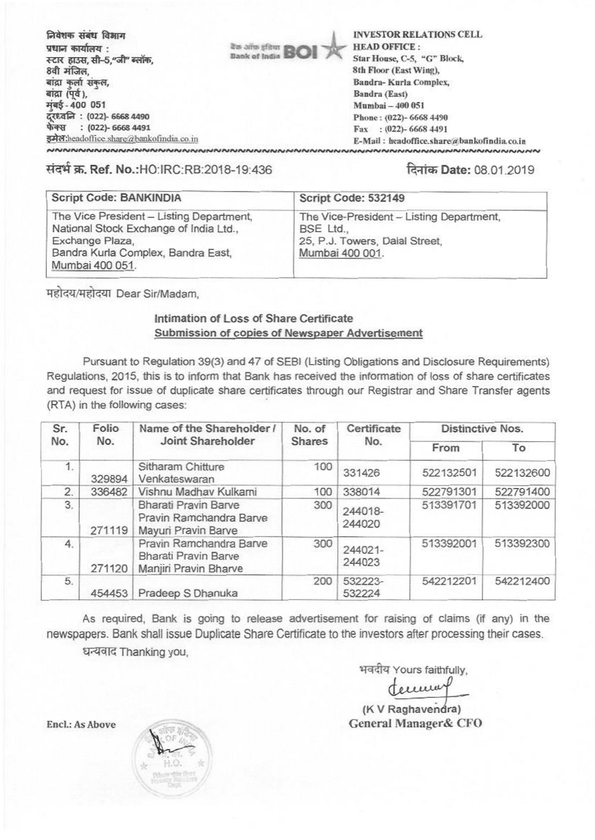निवेशक संबंध विभाग Dank of India**BO'** प्रधान कार्यालय : स्टार हाउस, सी-5,"जी" ब्लॉक, 8वी मंजिल. बांद्रा कर्ला संकल, बांद्रा $(\bar{q}\dot{q})$ , मंबई - 400 051 czttaQ : (022)- 6668 4490 फेक्स : (022)- 6668 4491 इमेल:headoffice share@bankofindia.co.in **NNNNNNNNNNNNNNNNNNNN** 

INVESTOR RELATIONS CELL HEAD OFFICE : Star House, C-5, "G" Block, 8th Floor (East Wing), Bandra- Kurla Complex, Sandra (East) Mumbai -400 051 Phone: (022)- 6668 4490 Fax : (022)- 6668 4491 E-Mail: headoffice.share@bankofindia.co.in

1:1Titw.Ref. No.:HO:IRC:RB:2018-19:436 **fka**Date: 08.01.2019

| Script Code: BANKINDIA                                                                                                                                         | Script Code: 532149                                                                                        |
|----------------------------------------------------------------------------------------------------------------------------------------------------------------|------------------------------------------------------------------------------------------------------------|
| The Vice President - Listing Department,<br>National Stock Exchange of India Ltd.,<br>Exchange Plaza,<br>Bandra Kurla Complex, Bandra East,<br>Mumbai 400 051. | The Vice-President - Listing Department,<br>BSE Ltd.,<br>25, P.J. Towers, Dalal Street,<br>Mumbai 400 001. |

महोदय/महोदया Dear Sir/Madam,

### Intimation of Loss of Share Certificate Submission of copies of Newspaper Advertisement

Pursuant to Regulation 39(3) and 47 of SEBI (Listing Obligations and Disclosure Requirements) Regulations, 2015, this is to inform that Bank has received the information of loss of share certificates and request for issue of duplicate share certificates through our Registrar and Share Transfer agents (RTA) in the following cases:

| Sr.<br>No. | Folio<br>No. | Name of the Shareholder /<br>Joint Shareholder                                  | No. of<br><b>Shares</b> | Certificate<br>No. | <b>Distinctive Nos.</b> |           |
|------------|--------------|---------------------------------------------------------------------------------|-------------------------|--------------------|-------------------------|-----------|
|            |              |                                                                                 |                         |                    | From                    | To        |
| 1.         | 329894       | Sitharam Chitture<br>Venkateswaran                                              | 100                     | 331426             | 522132501               | 522132600 |
| 2.         | 336482       | Vishnu Madhav Kulkarni                                                          | 100                     | 338014             | 522791301               | 522791400 |
| 3.         | 271119       | <b>Bharati Pravin Barve</b><br>Pravin Ramchandra Barve<br>Mayuri Pravin Barve   | 300                     | 244018-<br>244020  | 513391701               | 513392000 |
| 4.         | 271120       | Pravin Ramchandra Barve<br><b>Bharati Pravin Barve</b><br>Manjiri Pravin Bharve | 300                     | 244021-<br>244023  | 513392001               | 513392300 |
| 5.         | 454453       | Pradeep S Dhanuka                                                               | 200                     | 532223-<br>532224  | 542212201               | 542212400 |

As required, Bank is going to release advertisement for raising of claims (if any) in the newspapers. Bank shall issue Duplicate Share Certificate to the investors after processing their cases.

धन्यवाद Thanking you,

भवदीय Yours faithfully,

document

(K V Raghavendra) General Manager& CFO

Encl.: As Above

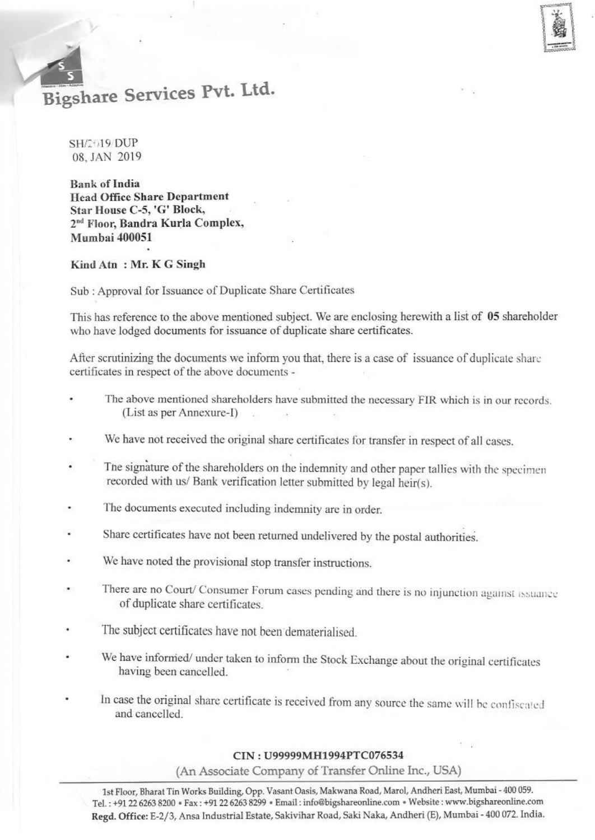# Bigshare Services Pvt. Ltd.

SH/2+19 DUP 08, JAN 2019

**Bank of India Head Office Share Department Star House C-5, 'C' Block,**  2<sup>nd</sup> Floor, Bandra Kurla Complex, **Mumbai 400051** 

#### **Kind Atn : Mr. K G Singh**

•

Sub : Approval for Issuance of Duplicate Share Certificates

This has reference to the above mentioned subject. We are enclosing herewith a list **of 05 shareholder who have lodged documents for issuance of duplicate share** certificates.

After scrutinizing the documents we inform you that, there is a case of issuance of duplicate share certificates in respect of the above documents -

- The above mentioned shareholders have submitted the necessary FIR which is in our records. (List as per Annexure-I) .
- We have not received the original share certificates for transfer in respect of all cases.
- The signature of the shareholders on the indemnity and other paper tallies with the specimen recorded with us/ Bank verification letter submitted by legal heir(s).
- The documents executed including indemnity are in order.
- Share certificates have not been returned undelivered by the postal authorities.
- We have noted the provisional stop transfer instructions.
- There are no Court/ Consumer Forum cases pending and there is no injunction against issuance of duplicate share certificates.
- The subject certificates have not been dematerialised.
- We have informed/ under taken to inform the Stock Exchange about the original certificates having been cancelled.
- In case the original share certificate is received from any source the same will be confiscated and cancelled.

#### CIN : U99999MH1994PTC076534

**(An** Associate Company of Transfer Online Inc., USA)